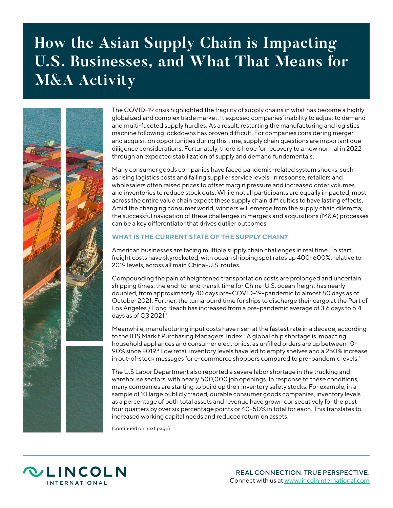# **How the Asian Supply Chain is Impacting U.S. Businesses, and What That Means for M&A Activity**



The COVID-19 crisis highlighted the fragility of supply chains in what has become a highly globalized and complex trade market. It exposed companies' inability to adjust to demand and multi-faceted supply hurdles. As a result, restarting the manufacturing and logistics machine following lockdowns has proven difficult. For companies considering merger and acquisition opportunities during this time, supply chain questions are important due diligence considerations. Fortunately, there is hope for recovery to a new normal in 2022 through an expected stabilization of supply and demand fundamentals.

Many consumer goods companies have faced pandemic-related system shocks, such as rising logistics costs and falling supplier service levels. In response, retailers and wholesalers often raised prices to offset margin pressure and increased order volumes and inventories to reduce stock outs. While not all participants are equally impacted, most across the entire value chain expect these supply chain difficulties to have lasting effects. Amid the changing consumer world, winners will emerge from the supply chain dilemma; the successful navigation of these challenges in mergers and acquisitions (M&A) processes can be a key differentiator that drives outlier outcomes.

# **WHAT IS THE CURRENT STATE OF THE SUPPLY CHAIN?**

American businesses are facing multiple supply chain challenges in real time. To start, freight costs have skyrocketed, with ocean shipping spot rates up 400-600%, relative to 2019 levels, across all main China-U.S. routes.

Compounding the pain of heightened transportation costs are prolonged and uncertain shipping times: the end-to-end transit time for China-U.S. ocean freight has nearly doubled, from approximately 40 days pre-COVID-19-pandemic to almost 80 days as of October 2021. Further, the turnaround time for ships to discharge their cargo at the Port of Los Angeles / Long Beach has increased from a pre-pandemic average of 3.6 days to 6.4 days as of Q3 2021.<sup>1</sup>

Meanwhile, manufacturing input costs have risen at the fastest rate in a decade, according to the IHS Markit Purchasing Managers' Index.2 A global chip shortage is impacting household appliances and consumer electronics, as unfilled orders are up between 10- 90% since 2019.<sup>3</sup> Low retail inventory levels have led to empty shelves and a 250% increase in out-of-stock messages for e-commerce shoppers compared to pre-pandemic levels.4

The U.S Labor Department also reported a severe labor shortage in the trucking and warehouse sectors, with nearly 500,000 job openings. In response to these conditions, many companies are starting to build up their inventory safety stocks. For example, in a sample of 10 large publicly traded, durable consumer goods companies, inventory levels as a percentage of both total assets and revenue have grown consecutively for the past four quarters by over six percentage points or 40-50% in total for each. This translates to increased working capital needs and reduced return on assets.

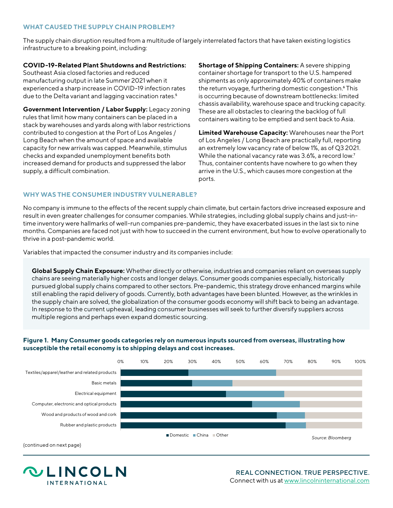## **WHAT CAUSED THE SUPPLY CHAIN PROBLEM?**

The supply chain disruption resulted from a multitude of largely interrelated factors that have taken existing logistics infrastructure to a breaking point, including:

# **COVID-19-Related Plant Shutdowns and Restrictions:**

Southeast Asia closed factories and reduced manufacturing output in late Summer 2021 when it experienced a sharp increase in COVID-19 infection rates due to the Delta variant and lagging vaccination rates.<sup>5</sup>

**Government Intervention / Labor Supply:** Legacy zoning rules that limit how many containers can be placed in a stack by warehouses and yards along with labor restrictions contributed to congestion at the Port of Los Angeles / Long Beach when the amount of space and available capacity for new arrivals was capped. Meanwhile, stimulus checks and expanded unemployment benefits both increased demand for products and suppressed the labor supply, a difficult combination.

**Shortage of Shipping Containers:** A severe shipping container shortage for transport to the U.S. hampered shipments as only approximately 40% of containers make the return voyage, furthering domestic congestion.<sup>6</sup> This is occurring because of downstream bottlenecks: limited chassis availability, warehouse space and trucking capacity. These are all obstacles to clearing the backlog of full containers waiting to be emptied and sent back to Asia.

**Limited Warehouse Capacity:** Warehouses near the Port of Los Angeles / Long Beach are practically full, reporting an extremely low vacancy rate of below 1%, as of Q3 2021. While the national vacancy rate was 3.6%, a record low.7 Thus, container contents have nowhere to go when they arrive in the U.S., which causes more congestion at the ports.

# **WHY WAS THE CONSUMER INDUSTRY VULNERABLE?**

No company is immune to the effects of the recent supply chain climate, but certain factors drive increased exposure and result in even greater challenges for consumer companies. While strategies, including global supply chains and just-intime inventory were hallmarks of well-run companies pre-pandemic, they have exacerbated issues in the last six to nine months. Companies are faced not just with how to succeed in the current environment, but how to evolve operationally to thrive in a post-pandemic world.

Variables that impacted the consumer industry and its companies include:

**Global Supply Chain Exposure:** Whether directly or otherwise, industries and companies reliant on overseas supply chains are seeing materially higher costs and longer delays. Consumer goods companies especially, historically pursued global supply chains compared to other sectors. Pre-pandemic, this strategy drove enhanced margins while still enabling the rapid delivery of goods. Currently, both advantages have been blunted. However, as the wrinkles in the supply chain are solved, the globalization of the consumer goods economy will shift back to being an advantage. In response to the current upheaval, leading consumer businesses will seek to further diversify suppliers across multiple regions and perhaps even expand domestic sourcing.

### **Figure 1. Many Consumer goods categories rely on numerous inputs sourced from overseas, illustrating how susceptible the retail economy is to shipping delays and cost increases.**



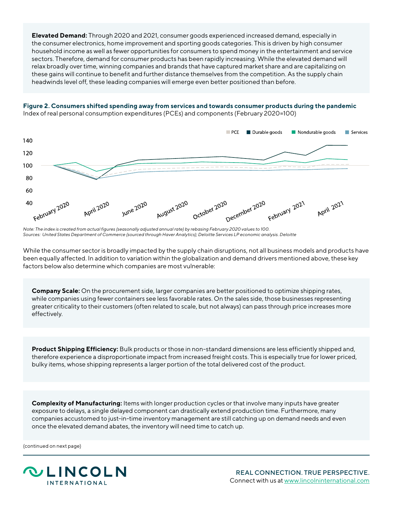**Elevated Demand:** Through 2020 and 2021, consumer goods experienced increased demand, especially in the consumer electronics, home improvement and sporting goods categories. This is driven by high consumer household income as well as fewer opportunities for consumers to spend money in the entertainment and service sectors. Therefore, demand for consumer products has been rapidly increasing. While the elevated demand will relax broadly over time, winning companies and brands that have captured market share and are capitalizing on these gains will continue to benefit and further distance themselves from the competition. As the supply chain headwinds level off, these leading companies will emerge even better positioned than before.

#### **Figure 2. Consumers shifted spending away from services and towards consumer products during the pandemic**  Index of real personal consumption expenditures (PCEs) and components (February 2020=100)



*Note: The index is created from actual figures (seasonally adjusted annual rate) by rebasing February 2020 values to 100. Sources: United States Department of Commerce (sourced through Haver Analytics); Deloitte Services LP economic analysis. Deloitte*

While the consumer sector is broadly impacted by the supply chain disruptions, not all business models and products have been equally affected. In addition to variation within the globalization and demand drivers mentioned above, these key factors below also determine which companies are most vulnerable:

**Company Scale:** On the procurement side, larger companies are better positioned to optimize shipping rates, while companies using fewer containers see less favorable rates. On the sales side, those businesses representing greater criticality to their customers (often related to scale, but not always) can pass through price increases more effectively.

**Product Shipping Efficiency:** Bulk products or those in non-standard dimensions are less efficiently shipped and, therefore experience a disproportionate impact from increased freight costs. This is especially true for lower priced, bulky items, whose shipping represents a larger portion of the total delivered cost of the product.

**Complexity of Manufacturing:** Items with longer production cycles or that involve many inputs have greater exposure to delays, a single delayed component can drastically extend production time. Furthermore, many companies accustomed to just-in-time inventory management are still catching up on demand needs and even once the elevated demand abates, the inventory will need time to catch up.

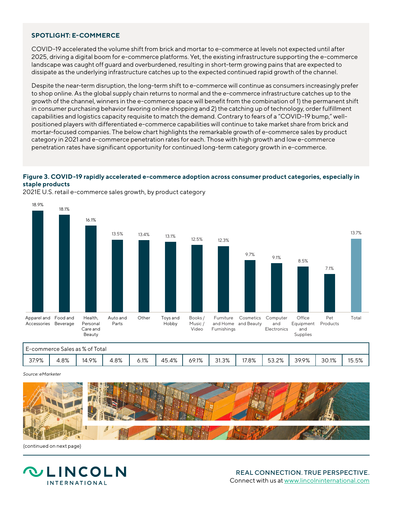## **SPOTLIGHT: E-COMMERCE**

COVID-19 accelerated the volume shift from brick and mortar to e-commerce at levels not expected until after 2025, driving a digital boom for e-commerce platforms. Yet, the existing infrastructure supporting the e-commerce landscape was caught off guard and overburdened, resulting in short-term growing pains that are expected to dissipate as the underlying infrastructure catches up to the expected continued rapid growth of the channel.

Despite the near-term disruption, the long-term shift to e-commerce will continue as consumers increasingly prefer to shop online. As the global supply chain returns to normal and the e-commerce infrastructure catches up to the growth of the channel, winners in the e-commerce space will benefit from the combination of 1) the permanent shift in consumer purchasing behavior favoring online shopping and 2) the catching up of technology, order fulfillment capabilities and logistics capacity requisite to match the demand. Contrary to fears of a "COVID-19 bump," wellpositioned players with differentiated e-commerce capabilities will continue to take market share from brick and mortar-focused companies. The below chart highlights the remarkable growth of e-commerce sales by product category in 2021 and e-commerce penetration rates for each. Those with high growth and low e-commerce penetration rates have significant opportunity for continued long-term category growth in e-commerce.

#### Figure 3. COVID-19 rapidly accelerated e-commerce adoption across consumer product categories, especially in **staple products**



and the commerce sales growth, by product category<br>2021E U.S. retail e-commerce sales growth, by product category

|       |                                 | E-commerce Sales as % of Total |      |         |       |       |       |       |       |       |       |       |
|-------|---------------------------------|--------------------------------|------|---------|-------|-------|-------|-------|-------|-------|-------|-------|
| 37.9% | 8%،<br>$\overline{\phantom{a}}$ | 14.9%                          | 4.8% | $6.1\%$ | 45.4% | 69.1% | 31.3% | 17.8% | 53.2% | 39.9% | 30.1% | 15.5% |

#### *Source: eMarketer*



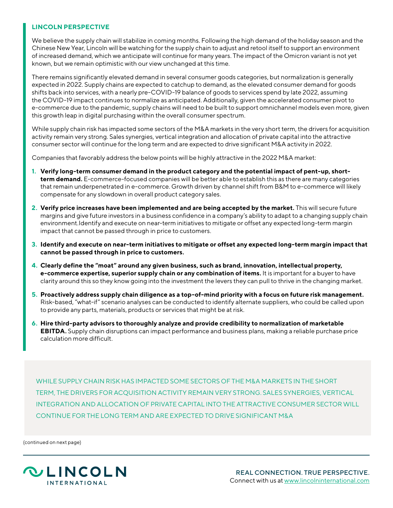# **LINCOLN PERSPECTIVE**

We believe the supply chain will stabilize in coming months. Following the high demand of the holiday season and the Chinese New Year, Lincoln will be watching for the supply chain to adjust and retool itself to support an environment of increased demand, which we anticipate will continue for many years. The impact of the Omicron variant is not yet known, but we remain optimistic with our view unchanged at this time.

There remains significantly elevated demand in several consumer goods categories, but normalization is generally expected in 2022. Supply chains are expected to catchup to demand, as the elevated consumer demand for goods shifts back into services, with a nearly pre-COVID-19 balance of goods to services spend by late 2022, assuming the COVID-19 impact continues to normalize as anticipated. Additionally, given the accelerated consumer pivot to e-commerce due to the pandemic, supply chains will need to be built to support omnichannel models even more, given this growth leap in digital purchasing within the overall consumer spectrum.

While supply chain risk has impacted some sectors of the M&A markets in the very short term, the drivers for acquisition activity remain very strong. Sales synergies, vertical integration and allocation of private capital into the attractive consumer sector will continue for the long term and are expected to drive significant M&A activity in 2022.

Companies that favorably address the below points will be highly attractive in the 2022 M&A market:

- **1. Verify long-term consumer demand in the product category and the potential impact of pent-up, shortterm demand.** E-commerce-focused companies will be better able to establish this as there are many categories that remain underpenetrated in e-commerce. Growth driven by channel shift from B&M to e-commerce will likely compensate for any slowdown in overall product category sales.
- **2. Verify price increases have been implemented and are being accepted by the market.** This will secure future margins and give future investors in a business confidence in a company's ability to adapt to a changing supply chain environment.Identify and execute on near-term initiatives to mitigate or offset any expected long-term margin impact that cannot be passed through in price to customers.
- **3. Identify and execute on near-term initiatives to mitigate or offset any expected long-term margin impact that cannot be passed through in price to customers.**
- **4. Clearly define the "moat" around any given business, such as brand, innovation, intellectual property, e-commerce expertise, superior supply chain or any combination of items.** It is important for a buyer to have clarity around this so they know going into the investment the levers they can pull to thrive in the changing market.
- **5. Proactively address supply chain diligence as a top-of-mind priority with a focus on future risk management.**  Risk-based, "what-if" scenario analyses can be conducted to identify alternate suppliers, who could be called upon to provide any parts, materials, products or services that might be at risk.
- **6. Hire third-party advisors to thoroughly analyze and provide credibility to normalization of marketable EBITDA.** Supply chain disruptions can impact performance and business plans, making a reliable purchase price calculation more difficult.

WHILE SUPPLY CHAIN RISK HAS IMPACTED SOME SECTORS OF THE M&A MARKETS IN THE SHORT TERM, THE DRIVERS FOR ACQUISITION ACTIVITY REMAIN VERY STRONG. SALES SYNERGIES, VERTICAL INTEGRATION AND ALLOCATION OF PRIVATE CAPITAL INTO THE ATTRACTIVE CONSUMER SECTOR WILL CONTINUE FOR THE LONG TERM AND ARE EXPECTED TO DRIVE SIGNIFICANT M&A